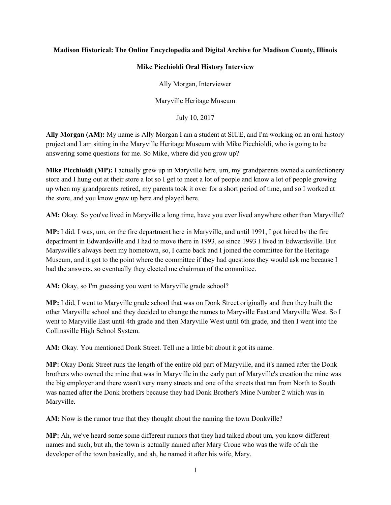## **Madison Historical: The Online Encyclopedia and Digital Archive for Madison County, Illinois**

## **Mike Picchioldi Oral History Interview**

Ally Morgan, Interviewer

Maryville Heritage Museum

July 10, 2017

**Ally Morgan (AM):** My name is Ally Morgan I am a student at SIUE, and I'm working on an oral history project and I am sitting in the Maryville Heritage Museum with Mike Picchioldi, who is going to be answering some questions for me. So Mike, where did you grow up?

**Mike Picchioldi (MP):** I actually grew up in Maryville here, um, my grandparents owned a confectionery store and I hung out at their store a lot so I get to meet a lot of people and know a lot of people growing up when my grandparents retired, my parents took it over for a short period of time, and so I worked at the store, and you know grew up here and played here.

**AM:** Okay. So you've lived in Maryville a long time, have you ever lived anywhere other than Maryville?

**MP:** I did. I was, um, on the fire department here in Maryville, and until 1991, I got hired by the fire department in Edwardsville and I had to move there in 1993, so since 1993 I lived in Edwardsville. But Marysville's always been my hometown, so, I came back and I joined the committee for the Heritage Museum, and it got to the point where the committee if they had questions they would ask me because I had the answers, so eventually they elected me chairman of the committee.

AM: Okay, so I'm guessing you went to Maryville grade school?

**MP:** I did, I went to Maryville grade school that was on Donk Street originally and then they built the other Maryville school and they decided to change the names to Maryville East and Maryville West. So I went to Maryville East until 4th grade and then Maryville West until 6th grade, and then I went into the Collinsville High School System.

**AM:** Okay. You mentioned Donk Street. Tell me a little bit about it got its name.

**MP:** Okay Donk Street runs the length of the entire old part of Maryville, and it's named after the Donk brothers who owned the mine that was in Maryville in the early part of Maryville's creation the mine was the big employer and there wasn't very many streets and one of the streets that ran from North to South was named after the Donk brothers because they had Donk Brother's Mine Number 2 which was in Maryville.

**AM:** Now is the rumor true that they thought about the naming the town Donkville?

**MP:** Ah, we've heard some some different rumors that they had talked about um, you know different names and such, but ah, the town is actually named after Mary Crone who was the wife of ah the developer of the town basically, and ah, he named it after his wife, Mary.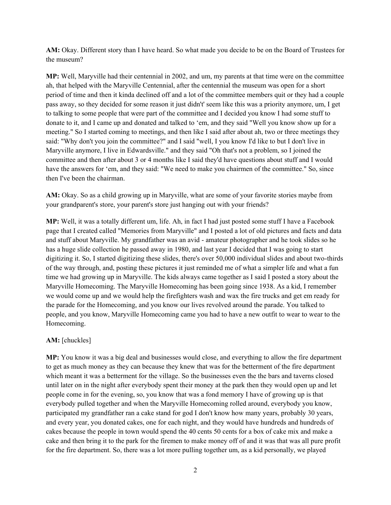**AM:** Okay. Different story than I have heard. So what made you decide to be on the Board of Trustees for the museum?

**MP:** Well, Maryville had their centennial in 2002, and um, my parents at that time were on the committee ah, that helped with the Maryville Centennial, after the centennial the museum was open for a short period of time and then it kinda declined off and a lot of the committee members quit or they had a couple pass away, so they decided for some reason it just didn't' seem like this was a priority anymore, um, I get to talking to some people that were part of the committee and I decided you know I had some stuff to donate to it, and I came up and donated and talked to 'em, and they said "Well you know show up for a meeting." So I started coming to meetings, and then like I said after about ah, two or three meetings they said: "Why don't you join the committee?" and I said "well, I you know I'd like to but I don't live in Maryville anymore, I live in Edwardsville." and they said "Oh that's not a problem, so I joined the committee and then after about 3 or 4 months like I said they'd have questions about stuff and I would have the answers for 'em, and they said: "We need to make you chairmen of the committee." So, since then I've been the chairman.

**AM:** Okay. So as a child growing up in Maryville, what are some of your favorite stories maybe from your grandparent's store, your parent's store just hanging out with your friends?

**MP:** Well, it was a totally different um, life. Ah, in fact I had just posted some stuff I have a Facebook page that I created called "Memories from Maryville" and I posted a lot of old pictures and facts and data and stuff about Maryville. My grandfather was an avid - amateur photographer and he took slides so he has a huge slide collection he passed away in 1980, and last year I decided that I was going to start digitizing it. So, I started digitizing these slides, there's over 50,000 individual slides and about two-thirds of the way through, and, posting these pictures it just reminded me of what a simpler life and what a fun time we had growing up in Maryville. The kids always came together as I said I posted a story about the Maryville Homecoming. The Maryville Homecoming has been going since 1938. As a kid, I remember we would come up and we would help the firefighters wash and wax the fire trucks and get em ready for the parade for the Homecoming, and you know our lives revolved around the parade. You talked to people, and you know, Maryville Homecoming came you had to have a new outfit to wear to wear to the Homecoming.

## **AM:** [chuckles]

**MP:** You know it was a big deal and businesses would close, and everything to allow the fire department to get as much money as they can because they knew that was for the betterment of the fire department which meant it was a betterment for the village. So the businesses even the the bars and taverns closed until later on in the night after everybody spent their money at the park then they would open up and let people come in for the evening, so, you know that was a fond memory I have of growing up is that everybody pulled together and when the Maryville Homecoming rolled around, everybody you know, participated my grandfather ran a cake stand for god I don't know how many years, probably 30 years, and every year, you donated cakes, one for each night, and they would have hundreds and hundreds of cakes because the people in town would spend the 40 cents 50 cents for a box of cake mix and make a cake and then bring it to the park for the firemen to make money off of and it was that was all pure profit for the fire department. So, there was a lot more pulling together um, as a kid personally, we played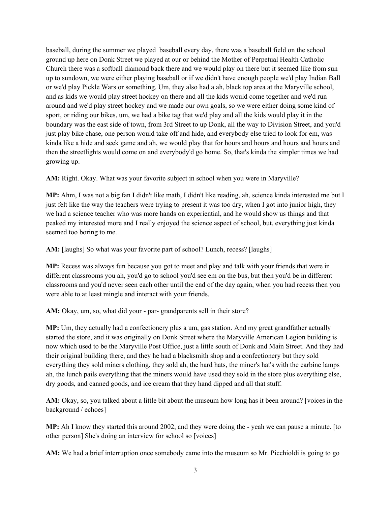baseball, during the summer we played baseball every day, there was a baseball field on the school ground up here on Donk Street we played at our or behind the Mother of Perpetual Health Catholic Church there was a softball diamond back there and we would play on there but it seemed like from sun up to sundown, we were either playing baseball or if we didn't have enough people we'd play Indian Ball or we'd play Pickle Wars or something. Um, they also had a ah, black top area at the Maryville school, and as kids we would play street hockey on there and all the kids would come together and we'd run around and we'd play street hockey and we made our own goals, so we were either doing some kind of sport, or riding our bikes, um, we had a bike tag that we'd play and all the kids would play it in the boundary was the east side of town, from 3rd Street to up Donk, all the way to Division Street, and you'd just play bike chase, one person would take off and hide, and everybody else tried to look for em, was kinda like a hide and seek game and ah, we would play that for hours and hours and hours and hours and then the streetlights would come on and everybody'd go home. So, that's kinda the simpler times we had growing up.

**AM:** Right. Okay. What was your favorite subject in school when you were in Maryville?

**MP:** Ahm, I was not a big fan I didn't like math, I didn't like reading, ah, science kinda interested me but I just felt like the way the teachers were trying to present it was too dry, when I got into junior high, they we had a science teacher who was more hands on experiential, and he would show us things and that peaked my interested more and I really enjoyed the science aspect of school, but, everything just kinda seemed too boring to me.

**AM:** [laughs] So what was your favorite part of school? Lunch, recess? [laughs]

**MP:** Recess was always fun because you got to meet and play and talk with your friends that were in different classrooms you ah, you'd go to school you'd see em on the bus, but then you'd be in different classrooms and you'd never seen each other until the end of the day again, when you had recess then you were able to at least mingle and interact with your friends.

**AM:** Okay, um, so, what did your - par- grandparents sell in their store?

**MP:** Um, they actually had a confectionery plus a um, gas station. And my great grandfather actually started the store, and it was originally on Donk Street where the Maryville American Legion building is now which used to be the Maryville Post Office, just a little south of Donk and Main Street. And they had their original building there, and they he had a blacksmith shop and a confectionery but they sold everything they sold miners clothing, they sold ah, the hard hats, the miner's hat's with the carbine lamps ah, the lunch pails everything that the miners would have used they sold in the store plus everything else, dry goods, and canned goods, and ice cream that they hand dipped and all that stuff.

**AM:** Okay, so, you talked about a little bit about the museum how long has it been around? [voices in the background / echoes]

**MP:** Ah I know they started this around 2002, and they were doing the - yeah we can pause a minute. [to other person] She's doing an interview for school so [voices]

AM: We had a brief interruption once somebody came into the museum so Mr. Picchioldi is going to go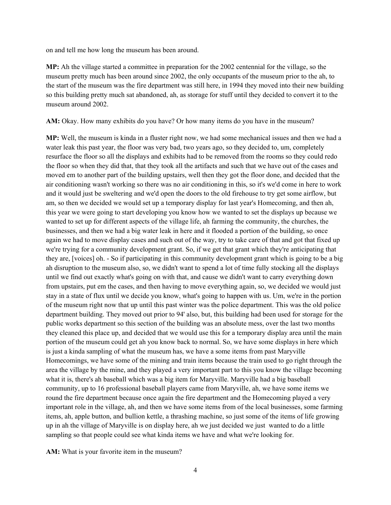on and tell me how long the museum has been around.

**MP:** Ah the village started a committee in preparation for the 2002 centennial for the village, so the museum pretty much has been around since 2002, the only occupants of the museum prior to the ah, to the start of the museum was the fire department was still here, in 1994 they moved into their new building so this building pretty much sat abandoned, ah, as storage for stuff until they decided to convert it to the museum around 2002.

**AM:** Okay. How many exhibits do you have? Or how many items do you have in the museum?

**MP:** Well, the museum is kinda in a fluster right now, we had some mechanical issues and then we had a water leak this past year, the floor was very bad, two years ago, so they decided to, um, completely resurface the floor so all the displays and exhibits had to be removed from the rooms so they could redo the floor so when they did that, that they took all the artifacts and such that we have out of the cases and moved em to another part of the building upstairs, well then they got the floor done, and decided that the air conditioning wasn't working so there was no air conditioning in this, so it's we'd come in here to work and it would just be sweltering and we'd open the doors to the old firehouse to try get some airflow, but am, so then we decided we would set up a temporary display for last year's Homecoming, and then ah, this year we were going to start developing you know how we wanted to set the displays up because we wanted to set up for different aspects of the village life, ah farming the community, the churches, the businesses, and then we had a big water leak in here and it flooded a portion of the building, so once again we had to move display cases and such out of the way, try to take care of that and got that fixed up we're trying for a community development grant. So, if we get that grant which they're anticipating that they are, [voices] oh. - So if participating in this community development grant which is going to be a big ah disruption to the museum also, so, we didn't want to spend a lot of time fully stocking all the displays until we find out exactly what's going on with that, and cause we didn't want to carry everything down from upstairs, put em the cases, and then having to move everything again, so, we decided we would just stay in a state of flux until we decide you know, what's going to happen with us. Um, we're in the portion of the museum right now that up until this past winter was the police department. This was the old police department building. They moved out prior to 94' also, but, this building had been used for storage for the public works department so this section of the building was an absolute mess, over the last two months they cleaned this place up, and decided that we would use this for a temporary display area until the main portion of the museum could get ah you know back to normal. So, we have some displays in here which is just a kinda sampling of what the museum has, we have a some items from past Maryville Homecomings, we have some of the mining and train items because the train used to go right through the area the village by the mine, and they played a very important part to this you know the village becoming what it is, there's ah baseball which was a big item for Maryville. Maryville had a big baseball community, up to 16 professional baseball players came from Maryville, ah, we have some items we round the fire department because once again the fire department and the Homecoming played a very important role in the village, ah, and then we have some items from of the local businesses, some farming items, ah, apple button, and bullion kettle, a thrashing machine, so just some of the items of life growing up in ah the village of Maryville is on display here, ah we just decided we just wanted to do a little sampling so that people could see what kinda items we have and what we're looking for.

**AM:** What is your favorite item in the museum?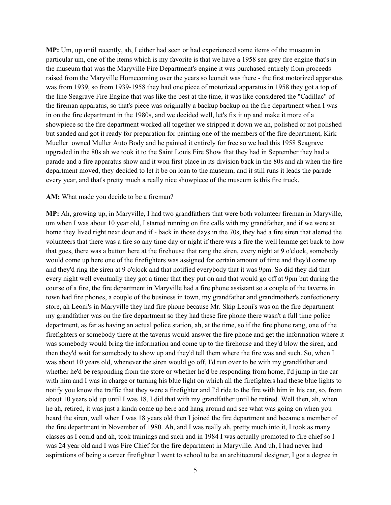**MP:** Um, up until recently, ah, I either had seen or had experienced some items of the museum in particular um, one of the items which is my favorite is that we have a 1958 sea grey fire engine that's in the museum that was the Maryville Fire Department's engine it was purchased entirely from proceeds raised from the Maryville Homecoming over the years so leoneit was there - the first motorized apparatus was from 1939, so from 1939-1958 they had one piece of motorized apparatus in 1958 they got a top of the line Seagrave Fire Engine that was like the best at the time, it was like considered the "Cadillac" of the fireman apparatus, so that's piece was originally a backup backup on the fire department when I was in on the fire department in the 1980s, and we decided well, let's fix it up and make it more of a showpiece so the fire department worked all together we stripped it down we ah, polished or not polished but sanded and got it ready for preparation for painting one of the members of the fire department, Kirk Mueller owned Muller Auto Body and he painted it entirely for free so we had this 1958 Seagrave upgraded in the 80s ah we took it to the Saint Louis Fire Show that they had in September they had a parade and a fire apparatus show and it won first place in its division back in the 80s and ah when the fire department moved, they decided to let it be on loan to the museum, and it still runs it leads the parade every year, and that's pretty much a really nice showpiece of the museum is this fire truck.

#### **AM:** What made you decide to be a fireman?

**MP:** Ah, growing up, in Maryville, I had two grandfathers that were both volunteer fireman in Maryville, um when I was about 10 year old, I started running on fire calls with my grandfather, and if we were at home they lived right next door and if - back in those days in the 70s, they had a fire siren that alerted the volunteers that there was a fire so any time day or night if there was a fire the well lemme get back to how that goes, there was a button here at the firehouse that rang the siren, every night at 9 o'clock, somebody would come up here one of the firefighters was assigned for certain amount of time and they'd come up and they'd ring the siren at 9 o'clock and that notified everybody that it was 9pm. So did they did that every night well eventually they got a timer that they put on and that would go off at 9pm but during the course of a fire, the fire department in Maryville had a fire phone assistant so a couple of the taverns in town had fire phones, a couple of the business in town, my grandfather and grandmother's confectionery store, ah Leoni's in Maryville they had fire phone because Mr. Skip Leoni's was on the fire department my grandfather was on the fire department so they had these fire phone there wasn't a full time police department, as far as having an actual police station, ah, at the time, so if the fire phone rang, one of the firefighters or somebody there at the taverns would answer the fire phone and get the information where it was somebody would bring the information and come up to the firehouse and they'd blow the siren, and then they'd wait for somebody to show up and they'd tell them where the fire was and such. So, when I was about 10 years old, whenever the siren would go off, I'd run over to be with my grandfather and whether he'd be responding from the store or whether he'd be responding from home, I'd jump in the car with him and I was in charge or turning his blue light on which all the firefighters had these blue lights to notify you know the traffic that they were a firefighter and I'd ride to the fire with him in his car, so, from about 10 years old up until I was 18, I did that with my grandfather until he retired. Well then, ah, when he ah, retired, it was just a kinda come up here and hang around and see what was going on when you heard the siren, well when I was 18 years old then I joined the fire department and became a member of the fire department in November of 1980. Ah, and I was really ah, pretty much into it, I took as many classes as I could and ah, took trainings and such and in 1984 I was actually promoted to fire chief so I was 24 year old and I was Fire Chief for the fire department in Maryville. And uh, I had never had aspirations of being a career firefighter I went to school to be an architectural designer, I got a degree in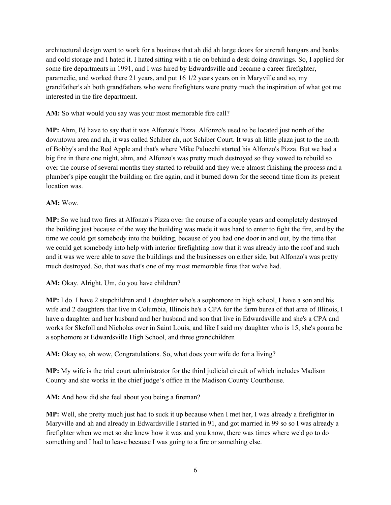architectural design went to work for a business that ah did ah large doors for aircraft hangars and banks and cold storage and I hated it. I hated sitting with a tie on behind a desk doing drawings. So, I applied for some fire departments in 1991, and I was hired by Edwardsville and became a career firefighter, paramedic, and worked there 21 years, and put 16 1/2 years years on in Maryville and so, my grandfather's ah both grandfathers who were firefighters were pretty much the inspiration of what got me interested in the fire department.

**AM:** So what would you say was your most memorable fire call?

**MP:** Ahm, I'd have to say that it was Alfonzo's Pizza. Alfonzo's used to be located just north of the downtown area and ah, it was called Schiber ah, not Schiber Court. It was ah little plaza just to the north of Bobby's and the Red Apple and that's where Mike Palucchi started his Alfonzo's Pizza. But we had a big fire in there one night, ahm, and Alfonzo's was pretty much destroyed so they vowed to rebuild so over the course of several months they started to rebuild and they were almost finishing the process and a plumber's pipe caught the building on fire again, and it burned down for the second time from its present location was.

## **AM:** Wow.

**MP:** So we had two fires at Alfonzo's Pizza over the course of a couple years and completely destroyed the building just because of the way the building was made it was hard to enter to fight the fire, and by the time we could get somebody into the building, because of you had one door in and out, by the time that we could get somebody into help with interior firefighting now that it was already into the roof and such and it was we were able to save the buildings and the businesses on either side, but Alfonzo's was pretty much destroyed. So, that was that's one of my most memorable fires that we've had.

**AM:** Okay. Alright. Um, do you have children?

**MP:** I do. I have 2 stepchildren and 1 daughter who's a sophomore in high school, I have a son and his wife and 2 daughters that live in Columbia, Illinois he's a CPA for the farm burea of that area of Illinois, I have a daughter and her husband and her husband and son that live in Edwardsville and she's a CPA and works for Skefoll and Nicholas over in Saint Louis, and like I said my daughter who is 15, she's gonna be a sophomore at Edwardsville High School, and three grandchildren

**AM:** Okay so, oh wow, Congratulations. So, what does your wife do for a living?

**MP:** My wife is the trial court administrator for the third judicial circuit of which includes Madison County and she works in the chief judge's office in the Madison County Courthouse.

**AM:** And how did she feel about you being a fireman?

**MP:** Well, she pretty much just had to suck it up because when I met her, I was already a firefighter in Maryville and ah and already in Edwardsville I started in 91, and got married in 99 so so I was already a firefighter when we met so she knew how it was and you know, there was times where we'd go to do something and I had to leave because I was going to a fire or something else.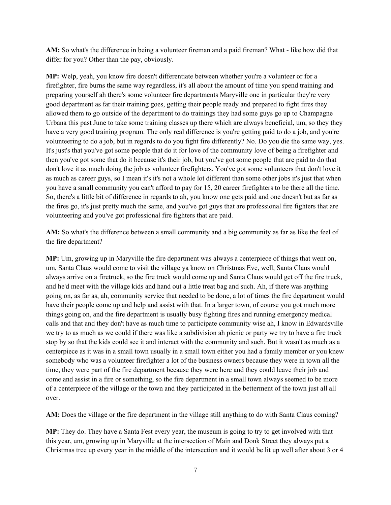**AM:** So what's the difference in being a volunteer fireman and a paid fireman? What - like how did that differ for you? Other than the pay, obviously.

**MP:** Welp, yeah, you know fire doesn't differentiate between whether you're a volunteer or for a firefighter, fire burns the same way regardless, it's all about the amount of time you spend training and preparing yourself ah there's some volunteer fire departments Maryville one in particular they're very good department as far their training goes, getting their people ready and prepared to fight fires they allowed them to go outside of the department to do trainings they had some guys go up to Champagne Urbana this past June to take some training classes up there which are always beneficial, um, so they they have a very good training program. The only real difference is you're getting paid to do a job, and you're volunteering to do a job, but in regards to do you fight fire differently? No. Do you die the same way, yes. It's just's that you've got some people that do it for love of the community love of being a firefighter and then you've got some that do it because it's their job, but you've got some people that are paid to do that don't love it as much doing the job as volunteer firefighters. You've got some volunteers that don't love it as much as career guys, so I mean it's it's not a whole lot different than some other jobs it's just that when you have a small community you can't afford to pay for 15, 20 career firefighters to be there all the time. So, there's a little bit of difference in regards to ah, you know one gets paid and one doesn't but as far as the fires go, it's just pretty much the same, and you've got guys that are professional fire fighters that are volunteering and you've got professional fire fighters that are paid.

**AM:** So what's the difference between a small community and a big community as far as like the feel of the fire department?

**MP:** Um, growing up in Maryville the fire department was always a centerpiece of things that went on, um, Santa Claus would come to visit the village ya know on Christmas Eve, well, Santa Claus would always arrive on a firetruck, so the fire truck would come up and Santa Claus would get off the fire truck, and he'd meet with the village kids and hand out a little treat bag and such. Ah, if there was anything going on, as far as, ah, community service that needed to be done, a lot of times the fire department would have their people come up and help and assist with that. In a larger town, of course you got much more things going on, and the fire department is usually busy fighting fires and running emergency medical calls and that and they don't have as much time to participate community wise ah, I know in Edwardsville we try to as much as we could if there was like a subdivision ah picnic or party we try to have a fire truck stop by so that the kids could see it and interact with the community and such. But it wasn't as much as a centerpiece as it was in a small town usually in a small town either you had a family member or you knew somebody who was a volunteer firefighter a lot of the business owners because they were in town all the time, they were part of the fire department because they were here and they could leave their job and come and assist in a fire or something, so the fire department in a small town always seemed to be more of a centerpiece of the village or the town and they participated in the betterment of the town just all all over.

**AM:** Does the village or the fire department in the village still anything to do with Santa Claus coming?

**MP:** They do. They have a Santa Fest every year, the museum is going to try to get involved with that this year, um, growing up in Maryville at the intersection of Main and Donk Street they always put a Christmas tree up every year in the middle of the intersection and it would be lit up well after about 3 or 4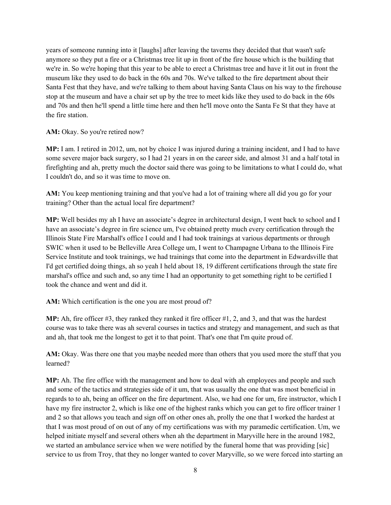years of someone running into it [laughs] after leaving the taverns they decided that that wasn't safe anymore so they put a fire or a Christmas tree lit up in front of the fire house which is the building that we're in. So we're hoping that this year to be able to erect a Christmas tree and have it lit out in front the museum like they used to do back in the 60s and 70s. We've talked to the fire department about their Santa Fest that they have, and we're talking to them about having Santa Claus on his way to the firehouse stop at the museum and have a chair set up by the tree to meet kids like they used to do back in the 60s and 70s and then he'll spend a little time here and then he'll move onto the Santa Fe St that they have at the fire station.

## AM: Okay. So you're retired now?

**MP:** I am. I retired in 2012, um, not by choice I was injured during a training incident, and I had to have some severe major back surgery, so I had 21 years in on the career side, and almost 31 and a half total in firefighting and ah, pretty much the doctor said there was going to be limitations to what I could do, what I couldn't do, and so it was time to move on.

**AM:** You keep mentioning training and that you've had a lot of training where all did you go for your training? Other than the actual local fire department?

**MP:** Well besides my ah I have an associate's degree in architectural design, I went back to school and I have an associate's degree in fire science um, I've obtained pretty much every certification through the Illinois State Fire Marshall's office I could and I had took trainings at various departments or through SWIC when it used to be Belleville Area College um, I went to Champagne Urbana to the Illinois Fire Service Institute and took trainings, we had trainings that come into the department in Edwardsville that I'd get certified doing things, ah so yeah I held about 18, 19 different certifications through the state fire marshal's office and such and, so any time I had an opportunity to get something right to be certified I took the chance and went and did it.

**AM:** Which certification is the one you are most proud of?

**MP:** Ah, fire officer #3, they ranked they ranked it fire officer #1, 2, and 3, and that was the hardest course was to take there was ah several courses in tactics and strategy and management, and such as that and ah, that took me the longest to get it to that point. That's one that I'm quite proud of.

**AM:** Okay. Was there one that you maybe needed more than others that you used more the stuff that you learned?

**MP:** Ah. The fire office with the management and how to deal with ah employees and people and such and some of the tactics and strategies side of it um, that was usually the one that was most beneficial in regards to to ah, being an officer on the fire department. Also, we had one for um, fire instructor, which I have my fire instructor 2, which is like one of the highest ranks which you can get to fire officer trainer 1 and 2 so that allows you teach and sign off on other ones ah, prolly the one that I worked the hardest at that I was most proud of on out of any of my certifications was with my paramedic certification. Um, we helped initiate myself and several others when ah the department in Maryville here in the around 1982, we started an ambulance service when we were notified by the funeral home that was providing [sic] service to us from Troy, that they no longer wanted to cover Maryville, so we were forced into starting an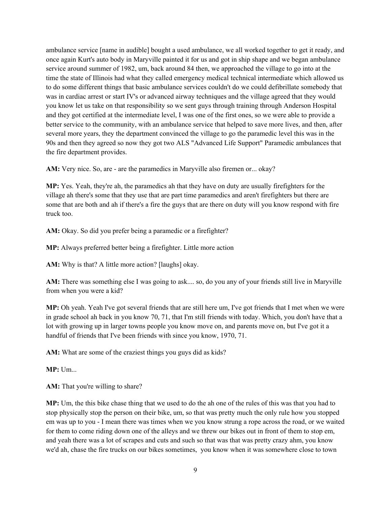ambulance service [name in audible] bought a used ambulance, we all worked together to get it ready, and once again Kurt's auto body in Maryville painted it for us and got in ship shape and we began ambulance service around summer of 1982, um, back around 84 then, we approached the village to go into at the time the state of Illinois had what they called emergency medical technical intermediate which allowed us to do some different things that basic ambulance services couldn't do we could defibrillate somebody that was in cardiac arrest or start IV's or advanced airway techniques and the village agreed that they would you know let us take on that responsibility so we sent guys through training through Anderson Hospital and they got certified at the intermediate level, I was one of the first ones, so we were able to provide a better service to the community, with an ambulance service that helped to save more lives, and then, after several more years, they the department convinced the village to go the paramedic level this was in the 90s and then they agreed so now they got two ALS "Advanced Life Support" Paramedic ambulances that the fire department provides.

**AM:** Very nice. So, are - are the paramedics in Maryville also firemen or... okay?

**MP:** Yes. Yeah, they're ah, the paramedics ah that they have on duty are usually firefighters for the village ah there's some that they use that are part time paramedics and aren't firefighters but there are some that are both and ah if there's a fire the guys that are there on duty will you know respond with fire truck too.

**AM:** Okay. So did you prefer being a paramedic or a firefighter?

**MP:** Always preferred better being a firefighter. Little more action

**AM:** Why is that? A little more action? [laughs] okay.

**AM:** There was something else I was going to ask.... so, do you any of your friends still live in Maryville from when you were a kid?

**MP:** Oh yeah. Yeah I've got several friends that are still here um, I've got friends that I met when we were in grade school ah back in you know 70, 71, that I'm still friends with today. Which, you don't have that a lot with growing up in larger towns people you know move on, and parents move on, but I've got it a handful of friends that I've been friends with since you know, 1970, 71.

**AM:** What are some of the craziest things you guys did as kids?

**MP:** Um...

AM: That you're willing to share?

**MP:** Um, the this bike chase thing that we used to do the ah one of the rules of this was that you had to stop physically stop the person on their bike, um, so that was pretty much the only rule how you stopped em was up to you - I mean there was times when we you know strung a rope across the road, or we waited for them to come riding down one of the alleys and we threw our bikes out in front of them to stop em, and yeah there was a lot of scrapes and cuts and such so that was that was pretty crazy ahm, you know we'd ah, chase the fire trucks on our bikes sometimes, you know when it was somewhere close to town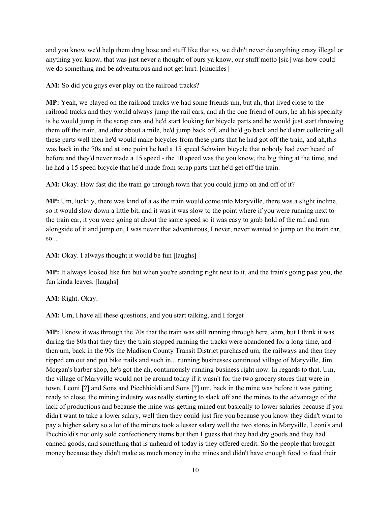and you know we'd help them drag hose and stuff like that so, we didn't never do anything crazy illegal or anything you know, that was just never a thought of ours ya know, our stuff motto [sic] was how could we do something and be adventurous and not get hurt. [chuckles]

**AM:** So did you guys ever play on the railroad tracks?

**MP:** Yeah, we played on the railroad tracks we had some friends um, but ah, that lived close to the railroad tracks and they would always jump the rail cars, and ah the one friend of ours, he ah his specialty is he would jump in the scrap cars and he'd start looking for bicycle parts and he would just start throwing them off the train, and after about a mile, he'd jump back off, and he'd go back and he'd start collecting all these parts well then he'd would make bicycles from these parts that he had got off the train, and ah,this was back in the 70s and at one point he had a 15 speed Schwinn bicycle that nobody had ever heard of before and they'd never made a 15 speed - the 10 speed was the you know, the big thing at the time, and he had a 15 speed bicycle that he'd made from scrap parts that he'd get off the train.

**AM:** Okay. How fast did the train go through town that you could jump on and off of it?

**MP:** Um, luckily, there was kind of a as the train would come into Maryville, there was a slight incline, so it would slow down a little bit, and it was it was slow to the point where if you were running next to the train car, it you were going at about the same speed so it was easy to grab hold of the rail and run alongside of it and jump on, I was never that adventurous, I never, never wanted to jump on the train car, so...

**AM:** Okay. I always thought it would be fun [laughs]

**MP:** It always looked like fun but when you're standing right next to it, and the train's going past you, the fun kinda leaves. [laughs]

**AM:** Right. Okay.

**AM:** Um, I have all these questions, and you start talking, and I forget

**MP:** I know it was through the 70s that the train was still running through here, ahm, but I think it was during the 80s that they they the train stopped running the tracks were abandoned for a long time, and then um, back in the 90s the Madison County Transit District purchased um, the railways and then they ripped em out and put bike trails and such in....running businesses continued village of Maryville, Jim Morgan's barber shop, he's got the ah, continuously running business right now. In regards to that. Um, the village of Maryville would not be around today if it wasn't for the two grocery stores that were in town, Leoni [?] and Sons and Picchhioldi and Sons [?] um, back in the mine was before it was getting ready to close, the mining industry was really starting to slack off and the mines to the advantage of the lack of productions and because the mine was getting mined out basically to lower salaries because if you didn't want to take a lower salary, well then they could just fire you because you know they didn't want to pay a higher salary so a lot of the miners took a lesser salary well the two stores in Maryville, Leoni's and Picchioldi's not only sold confectionery items but then I guess that they had dry goods and they had canned goods, and something that is unheard of today is they offered credit. So the people that brought money because they didn't make as much money in the mines and didn't have enough food to feed their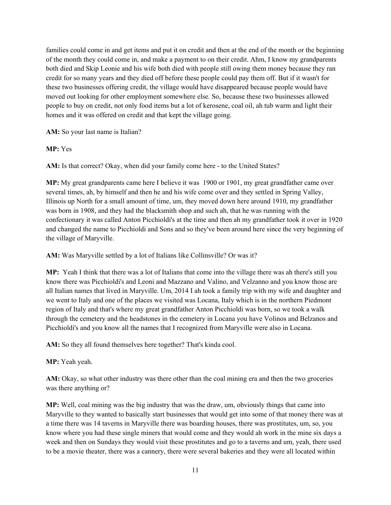families could come in and get items and put it on credit and then at the end of the month or the beginning of the month they could come in, and make a payment to on their credit. Ahm, I know my grandparents both died and Skip Leonie and his wife both died with people still owing them money because they ran credit for so many years and they died off before these people could pay them off. But if it wasn't for these two businesses offering credit, the village would have disappeared because people would have moved out looking for other employment somewhere else. So, because these two businesses allowed people to buy on credit, not only food items but a lot of kerosene, coal oil, ah tub warm and light their homes and it was offered on credit and that kept the village going.

**AM:** So your last name is Italian?

# **MP:** Yes

**AM:** Is that correct? Okay, when did your family come here - to the United States?

**MP:** My great grandparents came here I believe it was 1900 or 1901, my great grandfather came over several times, ah, by himself and then he and his wife come over and they settled in Spring Valley, Illinois up North for a small amount of time, um, they moved down here around 1910, my grandfather was born in 1908, and they had the blacksmith shop and such ah, that he was running with the confectionary it was called Anton Picchioldi's at the time and then ah my grandfather took it over in 1920 and changed the name to Picchioldi and Sons and so they've been around here since the very beginning of the village of Maryville.

**AM:** Was Maryville settled by a lot of Italians like Collinsville? Or was it?

**MP:** Yeah I think that there was a lot of Italians that come into the village there was ah there's still you know there was Picchioldi's and Leoni and Mazzano and Valino, and Velzanno and you know those are all Italian names that lived in Maryville. Um, 2014 I ah took a family trip with my wife and daughter and we went to Italy and one of the places we visited was Locana, Italy which is in the northern Piedmont region of Italy and that's where my great grandfather Anton Picchioldi was born, so we took a walk through the cemetery and the headstones in the cemetery in Locana you have Volinos and Belzanos and Picchioldi's and you know all the names that I recognized from Maryville were also in Locana.

AM: So they all found themselves here together? That's kinda cool.

**MP:** Yeah yeah.

**AM:** Okay, so what other industry was there other than the coal mining era and then the two groceries was there anything or?

**MP:** Well, coal mining was the big industry that was the draw, um, obviously things that came into Maryville to they wanted to basically start businesses that would get into some of that money there was at a time there was 14 taverns in Maryville there was boarding houses, there was prostitutes, um, so, you know where you had these single miners that would come and they would ah work in the mine six days a week and then on Sundays they would visit these prostitutes and go to a taverns and um, yeah, there used to be a movie theater, there was a cannery, there were several bakeries and they were all located within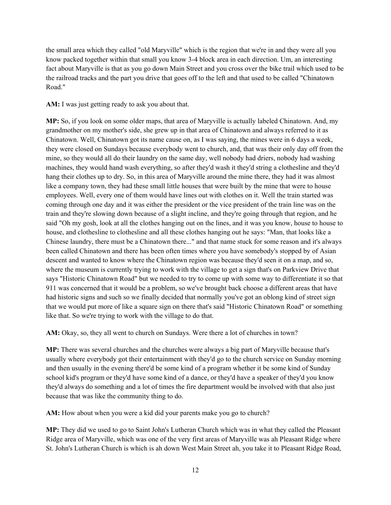the small area which they called "old Maryville" which is the region that we're in and they were all you know packed together within that small you know 3-4 block area in each direction. Um, an interesting fact about Maryville is that as you go down Main Street and you cross over the bike trail which used to be the railroad tracks and the part you drive that goes off to the left and that used to be called "Chinatown Road."

**AM:** I was just getting ready to ask you about that.

**MP:** So, if you look on some older maps, that area of Maryville is actually labeled Chinatown. And, my grandmother on my mother's side, she grew up in that area of Chinatown and always referred to it as Chinatown. Well, Chinatown got its name cause on, as I was saying, the mines were in 6 days a week, they were closed on Sundays because everybody went to church, and, that was their only day off from the mine, so they would all do their laundry on the same day, well nobody had driers, nobody had washing machines, they would hand wash everything, so after they'd wash it they'd string a clothesline and they'd hang their clothes up to dry. So, in this area of Maryville around the mine there, they had it was almost like a company town, they had these small little houses that were built by the mine that were to house employees. Well, every one of them would have lines out with clothes on it. Well the train started was coming through one day and it was either the president or the vice president of the train line was on the train and they're slowing down because of a slight incline, and they're going through that region, and he said "Oh my gosh, look at all the clothes hanging out on the lines, and it was you know, house to house to house, and clothesline to clothesline and all these clothes hanging out he says: "Man, that looks like a Chinese laundry, there must be a Chinatown there..." and that name stuck for some reason and it's always been called Chinatown and there has been often times where you have somebody's stopped by of Asian descent and wanted to know where the Chinatown region was because they'd seen it on a map, and so, where the museum is currently trying to work with the village to get a sign that's on Parkview Drive that says "Historic Chinatown Road" but we needed to try to come up with some way to differentiate it so that 911 was concerned that it would be a problem, so we've brought back choose a different areas that have had historic signs and such so we finally decided that normally you've got an oblong kind of street sign that we would put more of like a square sign on there that's said "Historic Chinatown Road" or something like that. So we're trying to work with the village to do that.

**AM:** Okay, so, they all went to church on Sundays. Were there a lot of churches in town?

**MP:** There was several churches and the churches were always a big part of Maryville because that's usually where everybody got their entertainment with they'd go to the church service on Sunday morning and then usually in the evening there'd be some kind of a program whether it be some kind of Sunday school kid's program or they'd have some kind of a dance, or they'd have a speaker of they'd you know they'd always do something and a lot of times the fire department would be involved with that also just because that was like the community thing to do.

**AM:** How about when you were a kid did your parents make you go to church?

**MP:** They did we used to go to Saint John's Lutheran Church which was in what they called the Pleasant Ridge area of Maryville, which was one of the very first areas of Maryville was ah Pleasant Ridge where St. John's Lutheran Church is which is ah down West Main Street ah, you take it to Pleasant Ridge Road,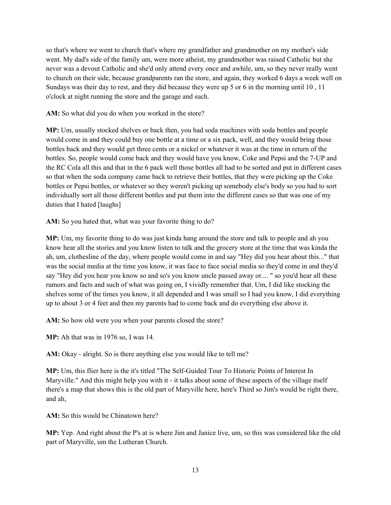so that's where we went to church that's where my grandfather and grandmother on my mother's side went. My dad's side of the family um, were more atheist, my grandmother was raised Catholic but she never was a devout Catholic and she'd only attend every once and awhile, um, so they never really went to church on their side, because grandparents ran the store, and again, they worked 6 days a week well on Sundays was their day to rest, and they did because they were up 5 or 6 in the morning until 10 , 11 o'clock at night running the store and the garage and such.

AM: So what did you do when you worked in the store?

**MP:** Um, usually stocked shelves or back then, you had soda machines with soda bottles and people would come in and they could buy one bottle at a time or a six pack, well, and they would bring those bottles back and they would get three cents or a nickel or whatever it was at the time in return of the bottles. So, people would come back and they would have you know, Coke and Pepsi and the 7-UP and the RC Cola all this and that in the 6 pack well those bottles all had to be sorted and put in different cases so that when the soda company came back to retrieve their bottles, that they were picking up the Coke bottles or Pepsi bottles, or whatever so they weren't picking up somebody else's body so you had to sort individually sort all those different bottles and put them into the different cases so that was one of my duties that I hated [laughs]

**AM:** So you hated that, what was your favorite thing to do?

**MP:** Um, my favorite thing to do was just kinda hang around the store and talk to people and ah you know hear all the stories and you know listen to talk and the grocery store at the time that was kinda the ah, um, clothesline of the day, where people would come in and say "Hey did you hear about this..." that was the social media at the time you know, it was face to face social media so they'd come in and they'd say "Hey did you hear you know so and so's you know uncle passed away or.... " so you'd hear all these rumors and facts and such of what was going on, I vividly remember that. Um, I did like stocking the shelves some of the times you know, it all depended and I was small so I had you know, I did everything up to about 3 or 4 feet and then my parents had to come back and do everything else above it.

AM: So how old were you when your parents closed the store?

**MP:** Ah that was in 1976 so, I was 14.

AM: Okay - alright. So is there anything else you would like to tell me?

**MP:** Um, this flier here is the it's titled "The Self-Guided Tour To Historic Points of Interest In Maryville." And this might help you with it - it talks about some of these aspects of the village itself there's a map that shows this is the old part of Maryville here, here's Third so Jim's would be right there, and ah,

**AM:** So this would be Chinatown here?

**MP:** Yep. And right about the P's at is where Jim and Janice live, um, so this was considered like the old part of Maryville, um the Lutheran Church.